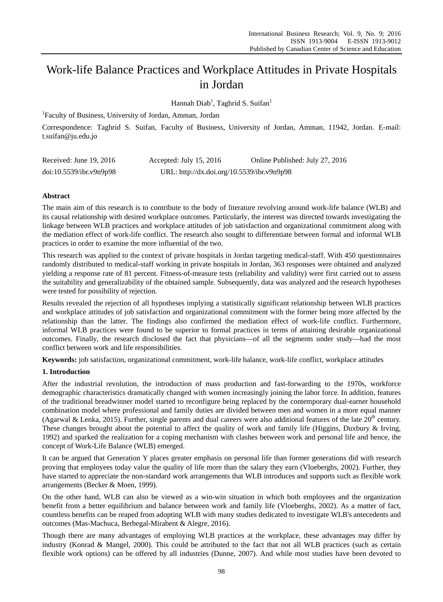# Work-life Balance Practices and Workplace Attitudes in Private Hospitals in Jordan

Hannah Diab<sup>1</sup>, Taghrid S. Suifan<sup>1</sup>

<sup>1</sup>Faculty of Business, University of Jordan, Amman, Jordan

Correspondence: Taghrid S. Suifan, Faculty of Business, University of Jordan, Amman, 11942, Jordan. E-mail: t.suifan@ju.edu.jo

| Received: June $19, 2016$ | Accepted: July 15, 2016                    | Online Published: July 27, 2016 |  |
|---------------------------|--------------------------------------------|---------------------------------|--|
| doi:10.5539/ibr.v9n9p98   | URL: http://dx.doi.org/10.5539/ibr.v9n9p98 |                                 |  |

## **Abstract**

The main aim of this research is to contribute to the body of literature revolving around work-life balance (WLB) and its causal relationship with desired workplace outcomes. Particularly, the interest was directed towards investigating the linkage between WLB practices and workplace attitudes of job satisfaction and organizational commitment along with the mediation effect of work-life conflict. The research also sought to differentiate between formal and informal WLB practices in order to examine the more influential of the two.

This research was applied to the context of private hospitals in Jordan targeting medical-staff. With 450 questionnaires randomly distributed to medical-staff working in private hospitals in Jordan, 363 responses were obtained and analyzed yielding a response rate of 81 percent. Fitness-of-measure tests (reliability and validity) were first carried out to assess the suitability and generalizability of the obtained sample. Subsequently, data was analyzed and the research hypotheses were tested for possibility of rejection.

Results revealed the rejection of all hypotheses implying a statistically significant relationship between WLB practices and workplace attitudes of job satisfaction and organizational commitment with the former being more affected by the relationship than the latter. The findings also confirmed the mediation effect of work-life conflict. Furthermore, informal WLB practices were found to be superior to formal practices in terms of attaining desirable organizational outcomes. Finally, the research disclosed the fact that physicians—of all the segments under study—had the most conflict between work and life responsibilities.

**Keywords:** job satisfaction, organizational commitment, work-life balance, work-life conflict, workplace attitudes

## **1. Introduction**

After the industrial revolution, the introduction of mass production and fast-forwarding to the 1970s, workforce demographic characteristics dramatically changed with women increasingly joining the labor force. In addition, features of the traditional breadwinner model started to reconfigure being replaced by the contemporary dual-earner household combination model where professional and family duties are divided between men and women in a more equal manner (Agarwal & Lenka, 2015). Further, single parents and dual careers were also additional features of the late  $20<sup>th</sup>$  century. These changes brought about the potential to affect the quality of work and family life (Higgins, Duxbury & Irving, 1992) and sparked the realization for a coping mechanism with clashes between work and personal life and hence, the concept of Work-Life Balance (WLB) emerged.

It can be argued that Generation Y places greater emphasis on personal life than former generations did with research proving that employees today value the quality of life more than the salary they earn (Vloeberghs, 2002). Further, they have started to appreciate the non-standard work arrangements that WLB introduces and supports such as flexible work arrangements (Becker & Moen, 1999).

On the other hand, WLB can also be viewed as a win-win situation in which both employees and the organization benefit from a better equilibrium and balance between work and family life (Vloeberghs, 2002). As a matter of fact, countless benefits can be reaped from adopting WLB with many studies dedicated to investigate WLB's antecedents and outcomes (Mas-Machuca, Berbegal-Mirabent & Alegre, 2016).

Though there are many advantages of employing WLB practices at the workplace, these advantages may differ by industry (Konrad & Mangel, 2000). This could be attributed to the fact that not all WLB practices (such as certain flexible work options) can be offered by all industries (Dunne, 2007). And while most studies have been devoted to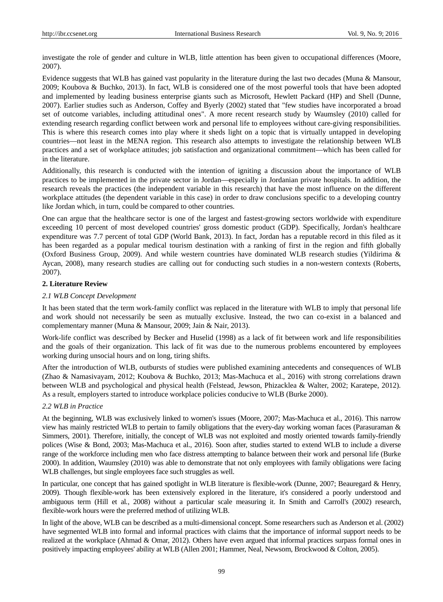investigate the role of gender and culture in WLB, little attention has been given to occupational differences (Moore, 2007).

Evidence suggests that WLB has gained vast popularity in the literature during the last two decades (Muna & Mansour, 2009; Koubova & Buchko, 2013). In fact, WLB is considered one of the most powerful tools that have been adopted and implemented by leading business enterprise giants such as Microsoft, Hewlett Packard (HP) and Shell (Dunne, 2007). Earlier studies such as Anderson, Coffey and Byerly (2002) stated that "few studies have incorporated a broad set of outcome variables, including attitudinal ones". A more recent research study by Waumsley (2010) called for extending research regarding conflict between work and personal life to employees without care-giving responsibilities. This is where this research comes into play where it sheds light on a topic that is virtually untapped in developing countries—not least in the MENA region. This research also attempts to investigate the relationship between WLB practices and a set of workplace attitudes; job satisfaction and organizational commitment—which has been called for in the literature.

Additionally, this research is conducted with the intention of igniting a discussion about the importance of WLB practices to be implemented in the private sector in Jordan—especially in Jordanian private hospitals. In addition, the research reveals the practices (the independent variable in this research) that have the most influence on the different workplace attitudes (the dependent variable in this case) in order to draw conclusions specific to a developing country like Jordan which, in turn, could be compared to other countries.

One can argue that the healthcare sector is one of the largest and fastest-growing sectors worldwide with expenditure exceeding 10 percent of most developed countries' gross domestic product (GDP). Specifically, Jordan's healthcare expenditure was 7.7 percent of total GDP (World Bank, 2013). In fact, Jordan has a reputable record in this filed as it has been regarded as a popular medical tourism destination with a ranking of first in the region and fifth globally (Oxford Business Group, 2009). And while western countries have dominated WLB research studies (Yildirima & Aycan, 2008), many research studies are calling out for conducting such studies in a non-western contexts (Roberts, 2007).

## **2. Literature Review**

## *2.1 WLB Concept Development*

It has been stated that the term work-family conflict was replaced in the literature with WLB to imply that personal life and work should not necessarily be seen as mutually exclusive. Instead, the two can co-exist in a balanced and complementary manner (Muna & Mansour, 2009; Jain & Nair, 2013).

Work-life conflict was described by Becker and Huselid (1998) as a lack of fit between work and life responsibilities and the goals of their organization. This lack of fit was due to the numerous problems encountered by employees working during unsocial hours and on long, tiring shifts.

After the introduction of WLB, outbursts of studies were published examining antecedents and consequences of WLB (Zhao & Namasivayam, 2012; Koubova & Buchko, 2013; Mas-Machuca et al., 2016) with strong correlations drawn between WLB and psychological and physical health (Felstead, Jewson, Phizacklea & Walter, 2002; Karatepe, 2012). As a result, employers started to introduce workplace policies conducive to WLB (Burke 2000).

#### *2.2 WLB in Practice*

At the beginning, WLB was exclusively linked to women's issues (Moore, 2007; Mas-Machuca et al., 2016). This narrow view has mainly restricted WLB to pertain to family obligations that the every-day working woman faces (Parasuraman & Simmers, 2001). Therefore, initially, the concept of WLB was not exploited and mostly oriented towards family-friendly polices (Wise & Bond, 2003; Mas-Machuca et al., 2016). Soon after, studies started to extend WLB to include a diverse range of the workforce including men who face distress attempting to balance between their work and personal life (Burke 2000). In addition, Waumsley (2010) was able to demonstrate that not only employees with family obligations were facing WLB challenges, but single employees face such struggles as well.

In particular, one concept that has gained spotlight in WLB literature is flexible-work (Dunne, 2007; Beauregard & Henry, 2009). Though flexible-work has been extensively explored in the literature, it's considered a poorly understood and ambiguous term (Hill et al*.*, 2008) without a particular scale measuring it. In Smith and Carroll's (2002) research, flexible-work hours were the preferred method of utilizing WLB.

In light of the above, WLB can be described as a multi-dimensional concept. Some researchers such as Anderson et al. (2002) have segmented WLB into formal and informal practices with claims that the importance of informal support needs to be realized at the workplace (Ahmad & Omar, 2012). Others have even argued that informal practices surpass formal ones in positively impacting employees' ability at WLB (Allen 2001; Hammer, Neal, Newsom, Brockwood & Colton, 2005).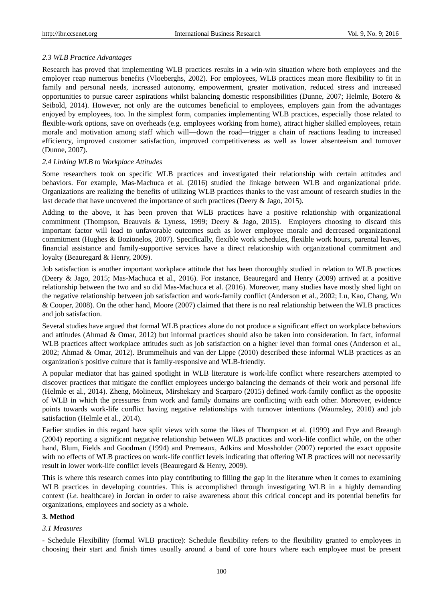## *2.3 WLB Practice Advantages*

Research has proved that implementing WLB practices results in a win-win situation where both employees and the employer reap numerous benefits (Vloeberghs, 2002). For employees, WLB practices mean more flexibility to fit in family and personal needs, increased autonomy, empowerment, greater motivation, reduced stress and increased opportunities to pursue career aspirations whilst balancing domestic responsibilities (Dunne, 2007; Helmle, Botero & Seibold, 2014). However, not only are the outcomes beneficial to employees, employers gain from the advantages enjoyed by employees, too. In the simplest form, companies implementing WLB practices, especially those related to flexible-work options, save on overheads (e.g. employees working from home), attract higher skilled employees, retain morale and motivation among staff which will—down the road—trigger a chain of reactions leading to increased efficiency, improved customer satisfaction, improved competitiveness as well as lower absenteeism and turnover (Dunne, 2007).

## *2.4 Linking WLB to Workplace Attitudes*

Some researchers took on specific WLB practices and investigated their relationship with certain attitudes and behaviors. For example, Mas-Machuca et al. (2016) studied the linkage between WLB and organizational pride. Organizations are realizing the benefits of utilizing WLB practices thanks to the vast amount of research studies in the last decade that have uncovered the importance of such practices (Deery & Jago, 2015).

Adding to the above, it has been proven that WLB practices have a positive relationship with organizational commitment (Thompson, Beauvais & Lyness, 1999; Deery & Jago, 2015). Employers choosing to discard this important factor will lead to unfavorable outcomes such as lower employee morale and decreased organizational commitment (Hughes & Bozionelos, 2007). Specifically, flexible work schedules, flexible work hours, parental leaves, financial assistance and family-supportive services have a direct relationship with organizational commitment and loyalty (Beauregard & Henry, 2009).

Job satisfaction is another important workplace attitude that has been thoroughly studied in relation to WLB practices (Deery & Jago, 2015; Mas-Machuca et al., 2016). For instance, Beauregard and Henry (2009) arrived at a positive relationship between the two and so did Mas-Machuca et al. (2016). Moreover, many studies have mostly shed light on the negative relationship between job satisfaction and work-family conflict (Anderson et al., 2002; Lu, Kao, Chang, Wu & Cooper, 2008). On the other hand, Moore (2007) claimed that there is no real relationship between the WLB practices and job satisfaction.

Several studies have argued that formal WLB practices alone do not produce a significant effect on workplace behaviors and attitudes (Ahmad & Omar, 2012) but informal practices should also be taken into consideration. In fact, informal WLB practices affect workplace attitudes such as job satisfaction on a higher level than formal ones (Anderson et al., 2002; Ahmad & Omar, 2012). Brummelhuis and van der Lippe (2010) described these informal WLB practices as an organization's positive culture that is family-responsive and WLB-friendly.

A popular mediator that has gained spotlight in WLB literature is work-life conflict where researchers attempted to discover practices that mitigate the conflict employees undergo balancing the demands of their work and personal life (Helmle et al., 2014). Zheng, Molineux, Mirshekary and Scarparo (2015) defined work-family conflict as the opposite of WLB in which the pressures from work and family domains are conflicting with each other. Moreover, evidence points towards work-life conflict having negative relationships with turnover intentions (Waumsley, 2010) and job satisfaction (Helmle et al., 2014).

Earlier studies in this regard have split views with some the likes of Thompson et al. (1999) and Frye and Breaugh (2004) reporting a significant negative relationship between WLB practices and work-life conflict while, on the other hand, Blum, Fields and Goodman (1994) and Premeaux, Adkins and Mossholder (2007) reported the exact opposite with no effects of WLB practices on work-life conflict levels indicating that offering WLB practices will not necessarily result in lower work-life conflict levels (Beauregard & Henry, 2009).

This is where this research comes into play contributing to filling the gap in the literature when it comes to examining WLB practices in developing countries. This is accomplished through investigating WLB in a highly demanding context (*i.e.* healthcare) in Jordan in order to raise awareness about this critical concept and its potential benefits for organizations, employees and society as a whole.

# **3. Method**

## *3.1 Measures*

- Schedule Flexibility (formal WLB practice): Schedule flexibility refers to the flexibility granted to employees in choosing their start and finish times usually around a band of core hours where each employee must be present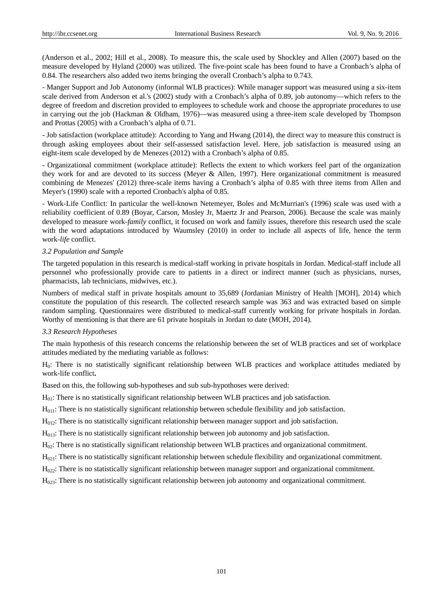(Anderson et al., 2002; Hill et al*.*, 2008). To measure this, the scale used by Shockley and Allen (2007) based on the measure developed by Hyland (2000) was utilized. The five-point scale has been found to have a Cronbach's alpha of 0.84. The researchers also added two items bringing the overall Cronbach's alpha to 0.743.

- Manger Support and Job Autonomy (informal WLB practices): While manager support was measured using a six-item scale derived from Anderson et al.'s (2002) study with a Cronbach's alpha of 0.89, job autonomy—which refers to the degree of freedom and discretion provided to employees to schedule work and choose the appropriate procedures to use in carrying out the job (Hackman & Oldham, 1976)—was measured using a three-item scale developed by Thompson and Prottas (2005) with a Cronbach's alpha of 0.71.

- Job satisfaction (workplace attitude): According to Yang and Hwang (2014), the direct way to measure this construct is through asking employees about their self-assessed satisfaction level. Here, job satisfaction is measured using an eight-item scale developed by de Menezes (2012) with a Cronbach's alpha of 0.85.

- Organizational commitment (workplace attitude): Reflects the extent to which workers feel part of the organization they work for and are devoted to its success (Meyer & Allen, 1997). Here organizational commitment is measured combining de Menezes' (2012) three-scale items having a Cronbach's alpha of 0.85 with three items from Allen and Meyer's (1990) scale with a reported Cronbach's alpha of 0.85.

- Work-Life Conflict: In particular the well-known Netemeyer, Boles and McMurrian's (1996) scale was used with a reliability coefficient of 0.89 (Boyar, Carson, Mosley Jr, Maertz Jr and Pearson, 2006). Because the scale was mainly developed to measure work-*family* conflict, it focused on work and family issues, therefore this research used the scale with the word adaptations introduced by Waumsley (2010) in order to include all aspects of life, hence the term work-*life* conflict.

## *3.2 Population and Sample*

The targeted population in this research is medical-staff working in private hospitals in Jordan. Medical-staff include all personnel who professionally provide care to patients in a direct or indirect manner (such as physicians, nurses, pharmacists, lab technicians, midwives, etc.).

Numbers of medical staff in private hospitals amount to 35,689 (Jordanian Ministry of Health [MOH], 2014) which constitute the population of this research. The collected research sample was 363 and was extracted based on simple random sampling. Questionnaires were distributed to medical-staff currently working for private hospitals in Jordan. Worthy of mentioning is that there are 61 private hospitals in Jordan to date (MOH, 2014).

## *3.3 Research Hypotheses*

The main hypothesis of this research concerns the relationship between the set of WLB practices and set of workplace attitudes mediated by the mediating variable as follows:

H0: There is no statistically significant relationship between WLB practices and workplace attitudes mediated by work-life conflict**.** 

Based on this, the following sub-hypotheses and sub sub-hypothoses were derived:

H01: There is no statistically significant relationship between WLB practices and job satisfaction.

 $H<sub>011</sub>$ : There is no statistically significant relationship between schedule flexibility and job satisfaction.

 $H<sub>012</sub>$ : There is no statistically significant relationship between manager support and job satisfaction.

 $H<sub>013</sub>$ : There is no statistically significant relationship between job autonomy and job satisfaction.

 $H<sub>02</sub>$ : There is no statistically significant relationship between WLB practices and organizational commitment.

 $H<sub>021</sub>$ : There is no statistically significant relationship between schedule flexibility and organizational commitment.

H022: There is no statistically significant relationship between manager support and organizational commitment.

 $H_{023}$ : There is no statistically significant relationship between job autonomy and organizational commitment.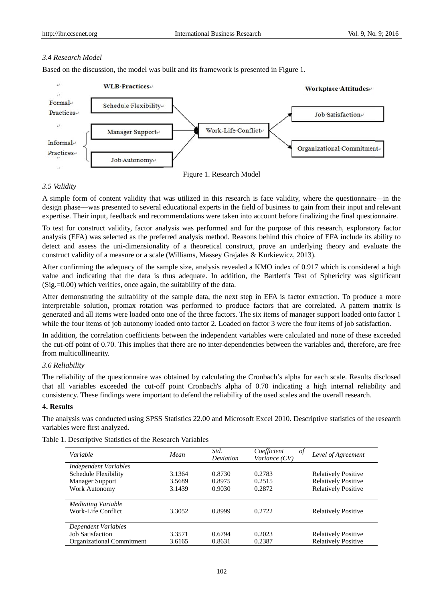## *3.4 Research M Model*

Based on the discussion, the model was built and its framework is presented in Figure 1.



Figure 1. Research Model

## *3.5 Validity*

A simple form of content validity that was utilized in this research is face validity, where the questionnaire—in the design phase—was presented to several educational experts in the field of business to gain from their input and relevant expertise. Their input, feedback and recommendations were taken into account before finalizing the final questionnaire.

To test for construct validity, factor analysis was performed and for the purpose of this research, exploratory factor analysis (EFA) was selected as the preferred analysis method. Reasons behind this choice of EFA include its ability to detect and assess the uni-dimensionality of a theoretical construct, prove an underlying theory and evaluate the construct validity of a measure or a scale (Williams, Massey Grajales & Kurkiewicz, 2013).

After confirming the adequacy of the sample size, analysis revealed a KMO index of 0.917 which is considered a high value and indicating that the data is thus adequate. In addition, the Bartlett's Test of Sphericity was significant  $(Sig. = 0.00)$  which verifies, once again, the suitability of the data.

After demonstrating the suitability of the sample data, the next step in EFA is factor extraction. To produce a more interpretable solution, promax rotation was performed to produce factors that are correlated. A pattern matrix is generated and all items were loaded onto one of the three factors. The six items of manager support loaded onto factor 1 while the four items of job autonomy loaded onto factor 2. Loaded on factor 3 were the four items of job satisfaction.

In addition, the correlation coefficients between the independent variables were calculated and none of these exceeded the cut-off point of 0.70. This implies that there are no inter-dependencies between the variables and, therefore, are free from multicol linearity.

#### 3.6 Reliability

The reliability of the questionnaire was obtained by calculating the Cronbach's alpha for each scale. Results disclosed that all variables exceeded the cut-off point Cronbach's alpha of 0.70 indicating a high internal reliability and consistency. These findings were important to defend the reliability of the used scales and the overall research.

#### **4. Results**

The analysis was conducted using SPSS Statistics 22.00 and Microsoft Excel 2010. Descriptive statistics of the research variables were first analyzed.

| Variable                     | Mean   | Std.<br>Deviation | Coefficient<br>of<br>Variance (CV) | Level of Agreement         |
|------------------------------|--------|-------------------|------------------------------------|----------------------------|
| <b>Independent Variables</b> |        |                   |                                    |                            |
| Schedule Flexibility         | 3.1364 | 0.8730            | 0.2783                             | <b>Relatively Positive</b> |
| <b>Manager Support</b>       | 3.5689 | 0.8975            | 0.2515                             | <b>Relatively Positive</b> |
| <b>Work Autonomy</b>         | 3.1439 | 0.9030            | 0.2872                             | <b>Relatively Positive</b> |
|                              |        |                   |                                    |                            |
| <b>Mediating Variable</b>    |        |                   |                                    |                            |
| Work-Life Conflict           | 3.3052 | 0.8999            | 0.2722                             | <b>Relatively Positive</b> |
|                              |        |                   |                                    |                            |
| Dependent Variables          |        |                   |                                    |                            |
| <b>Job Satisfaction</b>      | 3.3571 | 0.6794            | 0.2023                             | <b>Relatively Positive</b> |
| Organizational Commitment    | 3.6165 | 0.8631            | 0.2387                             | <b>Relatively Positive</b> |

Table 1. Descriptive Statistics of the Research Variables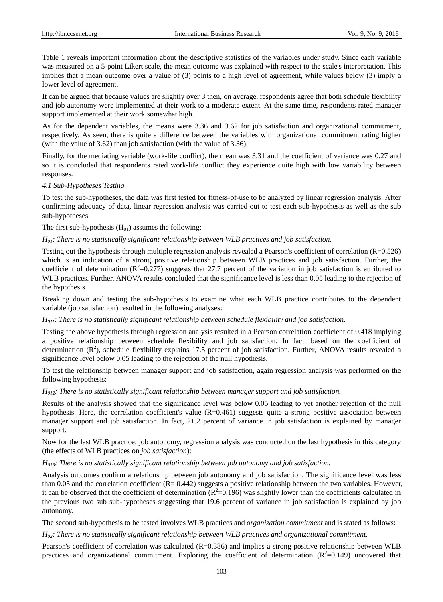Table 1 reveals important information about the descriptive statistics of the variables under study. Since each variable was measured on a 5-point Likert scale, the mean outcome was explained with respect to the scale's interpretation. This implies that a mean outcome over a value of (3) points to a high level of agreement, while values below (3) imply a lower level of agreement.

It can be argued that because values are slightly over 3 then, on average, respondents agree that both schedule flexibility and job autonomy were implemented at their work to a moderate extent. At the same time, respondents rated manager support implemented at their work somewhat high.

As for the dependent variables, the means were 3.36 and 3.62 for job satisfaction and organizational commitment, respectively. As seen, there is quite a difference between the variables with organizational commitment rating higher (with the value of 3.62) than job satisfaction (with the value of 3.36).

Finally, for the mediating variable (work-life conflict), the mean was 3.31 and the coefficient of variance was 0.27 and so it is concluded that respondents rated work-life conflict they experience quite high with low variability between responses.

#### *4.1 Sub-Hypotheses Testing*

To test the sub-hypotheses, the data was first tested for fitness-of-use to be analyzed by linear regression analysis. After confirming adequacy of data, linear regression analysis was carried out to test each sub-hypothesis as well as the sub sub-hypotheses.

The first sub-hypothesis  $(H<sub>01</sub>)$  assumes the following:

## *H01: There is no statistically significant relationship between WLB practices and job satisfaction.*

Testing out the hypothesis through multiple regression analysis revealed a Pearson's coefficient of correlation (R=0.526) which is an indication of a strong positive relationship between WLB practices and job satisfaction. Further, the coefficient of determination ( $R^2$ =0.277) suggests that 27.7 percent of the variation in job satisfaction is attributed to WLB practices. Further, ANOVA results concluded that the significance level is less than 0.05 leading to the rejection of the hypothesis.

Breaking down and testing the sub-hypothesis to examine what each WLB practice contributes to the dependent variable (job satisfaction) resulted in the following analyses:

#### *H011: There is no statistically significant relationship between schedule flexibility and job satisfaction.*

Testing the above hypothesis through regression analysis resulted in a Pearson correlation coefficient of 0.418 implying a positive relationship between schedule flexibility and job satisfaction. In fact, based on the coefficient of determination  $(R^2)$ , schedule flexibility explains 17.5 percent of job satisfaction. Further, ANOVA results revealed a significance level below 0.05 leading to the rejection of the null hypothesis.

To test the relationship between manager support and job satisfaction, again regression analysis was performed on the following hypothesis:

#### *H012: There is no statistically significant relationship between manager support and job satisfaction.*

Results of the analysis showed that the significance level was below 0.05 leading to yet another rejection of the null hypothesis. Here, the correlation coefficient's value (R=0.461) suggests quite a strong positive association between manager support and job satisfaction. In fact, 21.2 percent of variance in job satisfaction is explained by manager support.

Now for the last WLB practice; job autonomy, regression analysis was conducted on the last hypothesis in this category (the effects of WLB practices on *job satisfaction*):

#### *H013: There is no statistically significant relationship between job autonomy and job satisfaction.*

Analysis outcomes confirm a relationship between job autonomy and job satisfaction. The significance level was less than  $0.05$  and the correlation coefficient (R=  $0.442$ ) suggests a positive relationship between the two variables. However, it can be observed that the coefficient of determination  $(R^2=0.196)$  was slightly lower than the coefficients calculated in the previous two sub sub-hypotheses suggesting that 19.6 percent of variance in job satisfaction is explained by job autonomy.

The second sub-hypothesis to be tested involves WLB practices and *organization commitment* and is stated as follows:

*H02: There is no statistically significant relationship between WLB practices and organizational commitment.*

Pearson's coefficient of correlation was calculated (R=0.386) and implies a strong positive relationship between WLB practices and organizational commitment. Exploring the coefficient of determination  $(R^2=0.149)$  uncovered that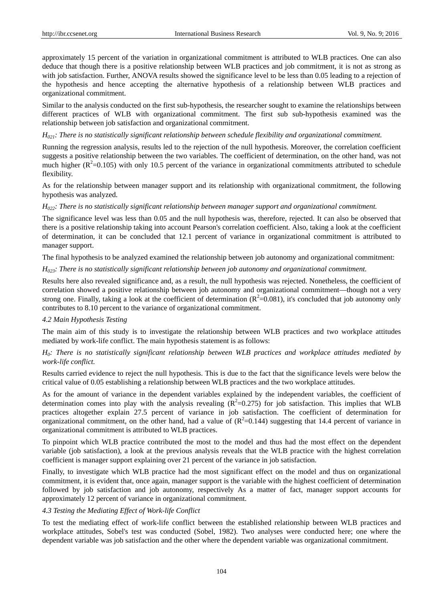approximately 15 percent of the variation in organizational commitment is attributed to WLB practices. One can also deduce that though there is a positive relationship between WLB practices and job commitment, it is not as strong as with job satisfaction. Further, ANOVA results showed the significance level to be less than 0.05 leading to a rejection of the hypothesis and hence accepting the alternative hypothesis of a relationship between WLB practices and organizational commitment.

Similar to the analysis conducted on the first sub-hypothesis, the researcher sought to examine the relationships between different practices of WLB with organizational commitment. The first sub sub-hypothesis examined was the relationship between job satisfaction and organizational commitment.

*H021: There is no statistically significant relationship between schedule flexibility and organizational commitment.* 

Running the regression analysis, results led to the rejection of the null hypothesis. Moreover, the correlation coefficient suggests a positive relationship between the two variables. The coefficient of determination, on the other hand, was not much higher ( $R^2$ =0.105) with only 10.5 percent of the variance in organizational commitments attributed to schedule flexibility.

As for the relationship between manager support and its relationship with organizational commitment, the following hypothesis was analyzed.

#### *H022: There is no statistically significant relationship between manager support and organizational commitment.*

The significance level was less than 0.05 and the null hypothesis was, therefore, rejected. It can also be observed that there is a positive relationship taking into account Pearson's correlation coefficient. Also, taking a look at the coefficient of determination, it can be concluded that 12.1 percent of variance in organizational commitment is attributed to manager support.

The final hypothesis to be analyzed examined the relationship between job autonomy and organizational commitment:

*H023: There is no statistically significant relationship between job autonomy and organizational commitment.* 

Results here also revealed significance and, as a result, the null hypothesis was rejected. Nonetheless, the coefficient of correlation showed a positive relationship between job autonomy and organizational commitment—though not a very strong one. Finally, taking a look at the coefficient of determination  $(R^2=0.081)$ , it's concluded that job autonomy only contributes to 8.10 percent to the variance of organizational commitment.

#### *4.2 Main Hypothesis Testing*

The main aim of this study is to investigate the relationship between WLB practices and two workplace attitudes mediated by work-life conflict. The main hypothesis statement is as follows:

## *H0: There is no statistically significant relationship between WLB practices and workplace attitudes mediated by work-life conflict.*

Results carried evidence to reject the null hypothesis. This is due to the fact that the significance levels were below the critical value of 0.05 establishing a relationship between WLB practices and the two workplace attitudes.

As for the amount of variance in the dependent variables explained by the independent variables, the coefficient of determination comes into play with the analysis revealing  $(R^2=0.275)$  for job satisfaction. This implies that WLB practices altogether explain 27.5 percent of variance in job satisfaction. The coefficient of determination for organizational commitment, on the other hand, had a value of  $(R^2=0.144)$  suggesting that 14.4 percent of variance in organizational commitment is attributed to WLB practices.

To pinpoint which WLB practice contributed the most to the model and thus had the most effect on the dependent variable (job satisfaction), a look at the previous analysis reveals that the WLB practice with the highest correlation coefficient is manager support explaining over 21 percent of the variance in job satisfaction.

Finally, to investigate which WLB practice had the most significant effect on the model and thus on organizational commitment, it is evident that, once again, manager support is the variable with the highest coefficient of determination followed by job satisfaction and job autonomy, respectively As a matter of fact, manager support accounts for approximately 12 percent of variance in organizational commitment.

#### *4.3 Testing the Mediating Effect of Work-life Conflict*

To test the mediating effect of work-life conflict between the established relationship between WLB practices and workplace attitudes, Sobel's test was conducted (Sobel, 1982). Two analyses were conducted here; one where the dependent variable was job satisfaction and the other where the dependent variable was organizational commitment.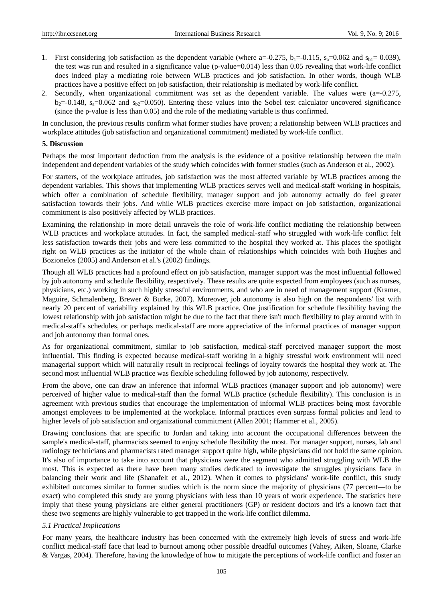- 1. First considering job satisfaction as the dependent variable (where a=-0.275,  $b_1 = -0.115$ ,  $s_a = 0.062$  and  $s_{b1} = 0.039$ ), the test was run and resulted in a significance value (p-value=0.014) less than 0.05 revealing that work-life conflict does indeed play a mediating role between WLB practices and job satisfaction. In other words, though WLB practices have a positive effect on job satisfaction, their relationship is mediated by work-life conflict.
- 2. Secondly, when organizational commitment was set as the dependent variable. The values were (a=-0.275,  $b_2 = 0.148$ ,  $s_a = 0.062$  and  $s_{b2} = 0.050$ ). Entering these values into the Sobel test calculator uncovered significance (since the p-value is less than 0.05) and the role of the mediating variable is thus confirmed.

In conclusion, the previous results confirm what former studies have proven; a relationship between WLB practices and workplace attitudes (job satisfaction and organizational commitment) mediated by work-life conflict.

#### **5. Discussion**

Perhaps the most important deduction from the analysis is the evidence of a positive relationship between the main independent and dependent variables of the study which coincides with former studies (such as Anderson et al., 2002).

For starters, of the workplace attitudes, job satisfaction was the most affected variable by WLB practices among the dependent variables. This shows that implementing WLB practices serves well and medical-staff working in hospitals, which offer a combination of schedule flexibility, manager support and job autonomy actually do feel greater satisfaction towards their jobs. And while WLB practices exercise more impact on job satisfaction, organizational commitment is also positively affected by WLB practices.

Examining the relationship in more detail unravels the role of work-life conflict mediating the relationship between WLB practices and workplace attitudes. In fact, the sampled medical-staff who struggled with work-life conflict felt less satisfaction towards their jobs and were less committed to the hospital they worked at. This places the spotlight right on WLB practices as the initiator of the whole chain of relationships which coincides with both Hughes and Bozionelos (2005) and Anderson et al.'s (2002) findings.

Though all WLB practices had a profound effect on job satisfaction, manager support was the most influential followed by job autonomy and schedule flexibility, respectively. These results are quite expected from employees (such as nurses, physicians, etc.) working in such highly stressful environments, and who are in need of management support (Kramer, Maguire, Schmalenberg, Brewer & Burke, 2007). Moreover, job autonomy is also high on the respondents' list with nearly 20 percent of variability explained by this WLB practice. One justification for schedule flexibility having the lowest relationship with job satisfaction might be due to the fact that there isn't much flexibility to play around with in medical-staff's schedules, or perhaps medical-staff are more appreciative of the informal practices of manager support and job autonomy than formal ones.

As for organizational commitment, similar to job satisfaction, medical-staff perceived manager support the most influential. This finding is expected because medical-staff working in a highly stressful work environment will need managerial support which will naturally result in reciprocal feelings of loyalty towards the hospital they work at. The second most influential WLB practice was flexible scheduling followed by job autonomy, respectively.

From the above, one can draw an inference that informal WLB practices (manager support and job autonomy) were perceived of higher value to medical-staff than the formal WLB practice (schedule flexibility). This conclusion is in agreement with previous studies that encourage the implementation of informal WLB practices being most favorable amongst employees to be implemented at the workplace. Informal practices even surpass formal policies and lead to higher levels of job satisfaction and organizational commitment (Allen 2001; Hammer et al., 2005).

Drawing conclusions that are specific to Jordan and taking into account the occupational differences between the sample's medical-staff, pharmacists seemed to enjoy schedule flexibility the most. For manager support, nurses, lab and radiology technicians and pharmacists rated manager support quite high, while physicians did not hold the same opinion. It's also of importance to take into account that physicians were the segment who admitted struggling with WLB the most. This is expected as there have been many studies dedicated to investigate the struggles physicians face in balancing their work and life (Shanafelt et al., 2012). When it comes to physicians' work-life conflict, this study exhibited outcomes similar to former studies which is the norm since the majority of physicians (77 percent—to be exact) who completed this study are young physicians with less than 10 years of work experience. The statistics here imply that these young physicians are either general practitioners (GP) or resident doctors and it's a known fact that these two segments are highly vulnerable to get trapped in the work-life conflict dilemma.

#### *5.1 Practical Implications*

For many years, the healthcare industry has been concerned with the extremely high levels of stress and work-life conflict medical-staff face that lead to burnout among other possible dreadful outcomes (Vahey, Aiken, Sloane, Clarke & Vargas, 2004). Therefore, having the knowledge of how to mitigate the perceptions of work-life conflict and foster an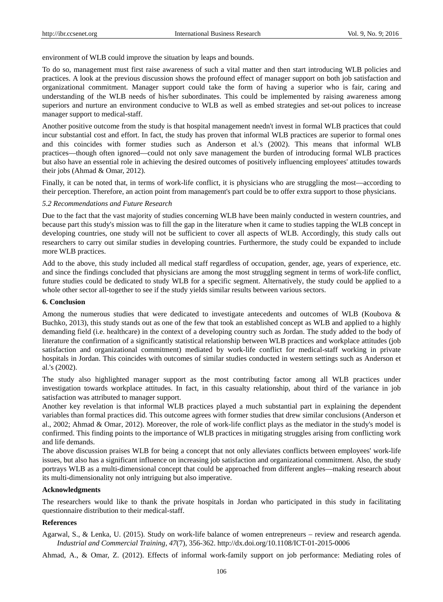environment of WLB could improve the situation by leaps and bounds.

To do so, management must first raise awareness of such a vital matter and then start introducing WLB policies and practices. A look at the previous discussion shows the profound effect of manager support on both job satisfaction and organizational commitment. Manager support could take the form of having a superior who is fair, caring and understanding of the WLB needs of his/her subordinates. This could be implemented by raising awareness among superiors and nurture an environment conducive to WLB as well as embed strategies and set-out polices to increase manager support to medical-staff.

Another positive outcome from the study is that hospital management needn't invest in formal WLB practices that could incur substantial cost and effort. In fact, the study has proven that informal WLB practices are superior to formal ones and this coincides with former studies such as Anderson et al.'s (2002). This means that informal WLB practices—though often ignored—could not only save management the burden of introducing formal WLB practices but also have an essential role in achieving the desired outcomes of positively influencing employees' attitudes towards their jobs (Ahmad & Omar, 2012).

Finally, it can be noted that, in terms of work-life conflict, it is physicians who are struggling the most—according to their perception. Therefore, an action point from management's part could be to offer extra support to those physicians.

## *5.2 Recommendations and Future Research*

Due to the fact that the vast majority of studies concerning WLB have been mainly conducted in western countries, and because part this study's mission was to fill the gap in the literature when it came to studies tapping the WLB concept in developing countries, one study will not be sufficient to cover all aspects of WLB. Accordingly, this study calls out researchers to carry out similar studies in developing countries. Furthermore, the study could be expanded to include more WLB practices.

Add to the above, this study included all medical staff regardless of occupation, gender, age, years of experience, etc. and since the findings concluded that physicians are among the most struggling segment in terms of work-life conflict, future studies could be dedicated to study WLB for a specific segment. Alternatively, the study could be applied to a whole other sector all-together to see if the study yields similar results between various sectors.

#### **6. Conclusion**

Among the numerous studies that were dedicated to investigate antecedents and outcomes of WLB (Koubova & Buchko, 2013), this study stands out as one of the few that took an established concept as WLB and applied to a highly demanding field (i.e. healthcare) in the context of a developing country such as Jordan. The study added to the body of literature the confirmation of a significantly statistical relationship between WLB practices and workplace attitudes (job satisfaction and organizational commitment) mediated by work-life conflict for medical-staff working in private hospitals in Jordan. This coincides with outcomes of similar studies conducted in western settings such as Anderson et al.'s (2002).

The study also highlighted manager support as the most contributing factor among all WLB practices under investigation towards workplace attitudes. In fact, in this casualty relationship, about third of the variance in job satisfaction was attributed to manager support.

Another key revelation is that informal WLB practices played a much substantial part in explaining the dependent variables than formal practices did. This outcome agrees with former studies that drew similar conclusions (Anderson et al., 2002; Ahmad & Omar, 2012). Moreover, the role of work-life conflict plays as the mediator in the study's model is confirmed. This finding points to the importance of WLB practices in mitigating struggles arising from conflicting work and life demands.

The above discussion praises WLB for being a concept that not only alleviates conflicts between employees' work-life issues, but also has a significant influence on increasing job satisfaction and organizational commitment. Also, the study portrays WLB as a multi-dimensional concept that could be approached from different angles—making research about its multi-dimensionality not only intriguing but also imperative.

## **Acknowledgments**

The researchers would like to thank the private hospitals in Jordan who participated in this study in facilitating questionnaire distribution to their medical-staff.

## **References**

Agarwal, S., & Lenka, U. (2015). Study on work-life balance of women entrepreneurs – review and research agenda. *Industrial and Commercial Training, 47*(7), 356-362. http://dx.doi.org/10.1108/ICT-01-2015-0006

Ahmad, A., & Omar, Z. (2012). Effects of informal work-family support on job performance: Mediating roles of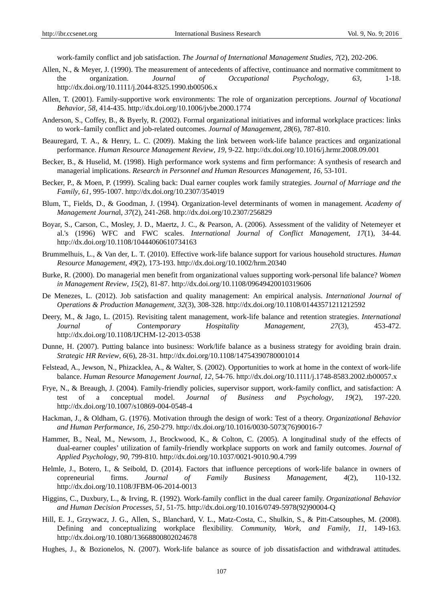work-family conflict and job satisfaction. *The Journal of International Management Studies, 7*(2), 202-206.

- Allen, N., & Meyer, J. (1990). The measurement of antecedents of affective, continuance and normative commitment to the organization. *Journal of Occupational Psychology, 63,* 1-18. http://dx.doi.org/10.1111/j.2044-8325.1990.tb00506.x
- Allen, T. (2001). Family-supportive work environments: The role of organization perceptions. *Journal of Vocational Behavior, 58,* 414-435. http://dx.doi.org/10.1006/jvbe.2000.1774
- Anderson, S., Coffey, B., & Byerly, R. (2002). Formal organizational initiatives and informal workplace practices: links to work–family conflict and job-related outcomes. *Journal of Management, 28*(6), 787-810.
- Beauregard, T. A., & Henry, L. C. (2009). Making the link between work-life balance practices and organizational performance. *Human Resource Management Review, 19,* 9-22. http://dx.doi.org/10.1016/j.hrmr.2008.09.001
- Becker, B., & Huselid, M. (1998). High performance work systems and firm performance: A synthesis of research and managerial implications. *Research in Personnel and Human Resources Management, 16, 53-101.*
- Becker, P., & Moen, P. (1999). Scaling back: Dual earner couples work family strategies. *Journal of Marriage and the Family, 61,* 995-1007. http://dx.doi.org/10.2307/354019
- Blum, T., Fields, D., & Goodman, J. (1994). Organization-level determinants of women in management. *Academy of Management Journa*l*, 37*(2), 241-268. http://dx.doi.org/10.2307/256829
- Boyar, S., Carson, C., Mosley, J. D., Maertz, J. C., & Pearson, A. (2006). Assessment of the validity of Netemeyer et al.'s (1996) WFC and FWC scales. *International Journal of Conflict Management, 17*(1), 34-44. http://dx.doi.org/10.1108/10444060610734163
- Brummelhuis, L., & Van der, L. T. (2010). Effective work-life balance support for various household structures. *Human Resource Management, 49*(2), 173-193. http://dx.doi.org/10.1002/hrm.20340
- Burke, R. (2000). Do managerial men benefit from organizational values supporting work-personal life balance? *Women in Management Review, 15*(2), 81-87. http://dx.doi.org/10.1108/09649420010319606
- De Menezes, L. (2012). Job satisfaction and quality management: An empirical analysis. *International Journal of Operations & Production Management, 32*(3), 308-328. http://dx.doi.org/10.1108/01443571211212592
- Deery, M., & Jago, L. (2015). Revisiting talent management, work-life balance and retention strategies. *International Journal of Contemporary Hospitality Management, 27*(3), 453-472. http://dx.doi.org/10.1108/IJCHM-12-2013-0538
- Dunne, H. (2007). Putting balance into business: Work/life balance as a business strategy for avoiding brain drain. *Strategic HR Review, 6*(6), 28-31. http://dx.doi.org/10.1108/14754390780001014
- Felstead, A., Jewson, N., Phizacklea, A., & Walter, S. (2002). Opportunities to work at home in the context of work-life balance. *Human Resource Management Journal, 12,* 54-76. http://dx.doi.org/10.1111/j.1748-8583.2002.tb00057.x
- Frye, N., & Breaugh, J. (2004). Family-friendly policies, supervisor support, work-family conflict, and satisfaction: A test of a conceptual model. *Journal of Business and Psychology, 19*(2), 197-220. http://dx.doi.org/10.1007/s10869-004-0548-4
- Hackman, J., & Oldham, G. (1976). Motivation through the design of work: Test of a theory. *Organizational Behavior and Human Performance, 16,* 250-279. http://dx.doi.org/10.1016/0030-5073(76)90016-7
- Hammer, B., Neal, M., Newsom, J., Brockwood, K., & Colton, C. (2005). A longitudinal study of the effects of dual-earner couples' utilization of family-friendly workplace supports on work and family outcomes. *Journal of Applied Psychology, 90,* 799-810. http://dx.doi.org/10.1037/0021-9010.90.4.799
- Helmle, J., Botero, I., & Seibold, D. (2014). Factors that influence perceptions of work-life balance in owners of copreneurial firms. *Journal of Family Business Management, 4*(2), 110-132. http://dx.doi.org/10.1108/JFBM-06-2014-0013
- Higgins, C., Duxbury, L., & Irving, R. (1992). Work-family conflict in the dual career family. *Organizational Behavior and Human Decision Processes, 51,* 51-75. http://dx.doi.org/10.1016/0749-5978(92)90004-Q
- Hill, E. J., Grzywacz, J. G., Allen, S., Blanchard, V. L., Matz-Costa, C., Shulkin, S., & Pitt-Catsouphes, M. (2008). Defining and conceptualizing workplace flexibility. *Community, Work, and Family, 11,* 149-163. http://dx.doi.org/10.1080/13668800802024678
- Hughes, J., & Bozionelos, N. (2007). Work-life balance as source of job dissatisfaction and withdrawal attitudes.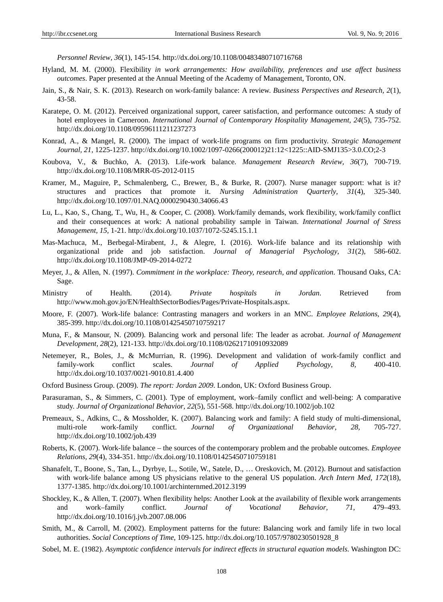*Personnel Review, 36*(1), 145-154. http://dx.doi.org/10.1108/00483480710716768

- Hyland, M. M. (2000). Flexibility *in work arrangements: How availability, preferences and use affect business outcomes*. Paper presented at the Annual Meeting of the Academy of Management, Toronto, ON.
- Jain, S., & Nair, S. K. (2013). Research on work-family balance: A review. *Business Perspectives and Research, 2*(1), 43-58.
- Karatepe, O. M. (2012). Perceived organizational support, career satisfaction, and performance outcomes: A study of hotel employees in Cameroon. *International Journal of Contemporary Hospitality Management, 24*(5), 735-752. http://dx.doi.org/10.1108/09596111211237273
- Konrad, A., & Mangel, R. (2000). The impact of work-life programs on firm productivity. *Strategic Management Journal, 21,* 1225-1237. http://dx.doi.org/10.1002/1097-0266(200012)21:12<1225::AID-SMJ135>3.0.CO;2-3
- Koubova, V., & Buchko, A. (2013). Life-work balance. *Management Research Review, 36*(7), 700-719. http://dx.doi.org/10.1108/MRR-05-2012-0115
- Kramer, M., Maguire, P., Schmalenberg, C., Brewer, B., & Burke, R. (2007). Nurse manager support: what is it? structures and practices that promote it. *Nursing Administration Quarterly, 31*(4), 325-340. http://dx.doi.org/10.1097/01.NAQ.0000290430.34066.43
- Lu, L., Kao, S., Chang, T., Wu, H., & Cooper, C. (2008). Work/family demands, work flexibility, work/family conflict and their consequences at work: A national probability sample in Taiwan. *International Journal of Stress Management, 15,* 1-21. http://dx.doi.org/10.1037/1072-5245.15.1.1
- Mas-Machuca, M., Berbegal-Mirabent, J., & Alegre, I. (2016). Work-life balance and its relationship with organizational pride and job satisfaction. *Journal of Managerial Psychology, 31*(2), 586-602. http://dx.doi.org/10.1108/JMP-09-2014-0272
- Meyer, J., & Allen, N. (1997). *Commitment in the workplace: Theory, research, and application*. Thousand Oaks, CA: Sage.
- Ministry of Health. (2014). *Private hospitals in Jordan*. Retrieved from http://www.moh.gov.jo/EN/HealthSectorBodies/Pages/Private-Hospitals.aspx.
- Moore, F. (2007). Work-life balance: Contrasting managers and workers in an MNC. *Employee Relations, 29*(4), 385-399. http://dx.doi.org/10.1108/01425450710759217
- Muna, F., & Mansour, N. (2009). Balancing work and personal life: The leader as acrobat. *Journal of Management Development, 28*(2), 121-133. http://dx.doi.org/10.1108/02621710910932089
- Netemeyer, R., Boles, J., & McMurrian, R. (1996). Development and validation of work-family conflict and family-work conflict scales. *Journal of Applied Psychology, 8,* 400-410. http://dx.doi.org/10.1037/0021-9010.81.4.400
- Oxford Business Group. (2009). *The report: Jordan 2009*. London, UK: Oxford Business Group.
- Parasuraman, S., & Simmers, C. (2001). Type of employment, work–family conflict and well-being: A comparative study. *Journal of Organizational Behavior, 22*(5), 551-568. http://dx.doi.org/10.1002/job.102
- Premeaux, S., Adkins, C., & Mossholder, K. (2007). Balancing work and family: A field study of multi-dimensional, multi-role work-family conflict. *Journal of Organizational Behavior, 28,* 705-727. http://dx.doi.org/10.1002/job.439
- Roberts, K. (2007). Work-life balance the sources of the contemporary problem and the probable outcomes. *Employee Relations, 29*(4), 334-351. http://dx.doi.org/10.1108/01425450710759181
- Shanafelt, T., Boone, S., Tan, L., Dyrbye, L., Sotile, W., Satele, D., … Oreskovich, M. (2012). Burnout and satisfaction with work-life balance among US physicians relative to the general US population. *Arch Intern Med, 172*(18), 1377-1385. http://dx.doi.org/10.1001/archinternmed.2012.3199
- Shockley, K., & Allen, T. (2007). When flexibility helps: Another Look at the availability of flexible work arrangements and work–family conflict. *Journal of Vocational Behavior, 71,* 479–493. http://dx.doi.org/10.1016/j.jvb.2007.08.006
- Smith, M., & Carroll, M. (2002). Employment patterns for the future: Balancing work and family life in two local authorities. *Social Conceptions of Time*, 109-125. http://dx.doi.org/10.1057/9780230501928\_8
- Sobel, M. E. (1982). *Asymptotic confidence intervals for indirect effects in structural equation models*. Washington DC: